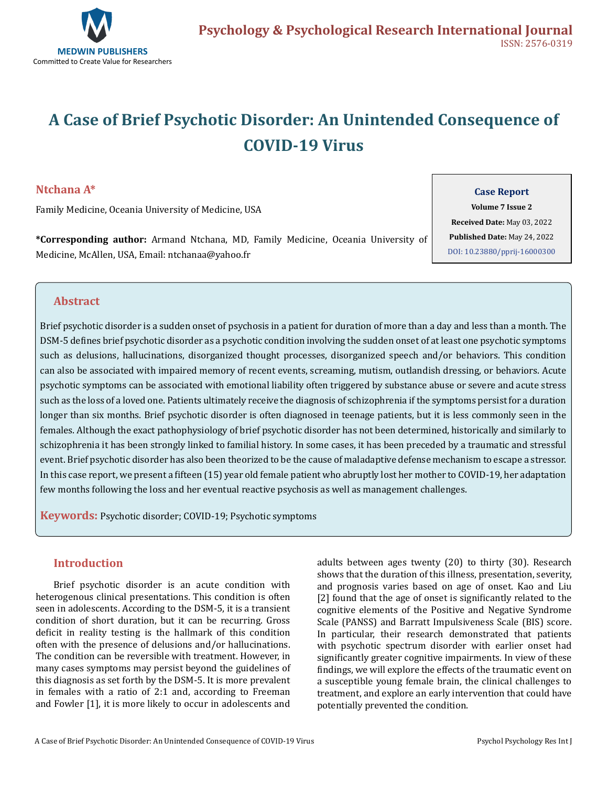

# **A Case of Brief Psychotic Disorder: An Unintended Consequence of COVID-19 Virus**

## **Ntchana A\***

Family Medicine, Oceania University of Medicine, USA

**\*Corresponding author:** Armand Ntchana, MD, Family Medicine, Oceania University of Medicine, McAllen, USA, Email: ntchanaa@yahoo.fr

#### **Case Report**

**Volume 7 Issue 2 Received Date:** May 03, 2022 **Published Date:** May 24, 2022 [DOI: 10.23880/pprij-16000300](https://doi.org/10.23880/pprij-16000300)

## **Abstract**

Brief psychotic disorder is a sudden onset of psychosis in a patient for duration of more than a day and less than a month. The DSM-5 defines brief psychotic disorder as a psychotic condition involving the sudden onset of at least one psychotic symptoms such as delusions, hallucinations, disorganized thought processes, disorganized speech and/or behaviors. This condition can also be associated with impaired memory of recent events, screaming, mutism, outlandish dressing, or behaviors. Acute psychotic symptoms can be associated with emotional liability often triggered by substance abuse or severe and acute stress such as the loss of a loved one. Patients ultimately receive the diagnosis of schizophrenia if the symptoms persist for a duration longer than six months. Brief psychotic disorder is often diagnosed in teenage patients, but it is less commonly seen in the females. Although the exact pathophysiology of brief psychotic disorder has not been determined, historically and similarly to schizophrenia it has been strongly linked to familial history. In some cases, it has been preceded by a traumatic and stressful event. Brief psychotic disorder has also been theorized to be the cause of maladaptive defense mechanism to escape a stressor. In this case report, we present a fifteen (15) year old female patient who abruptly lost her mother to COVID-19, her adaptation few months following the loss and her eventual reactive psychosis as well as management challenges.

**Keywords:** Psychotic disorder; COVID-19; Psychotic symptoms

## **Introduction**

Brief psychotic disorder is an acute condition with heterogenous clinical presentations. This condition is often seen in adolescents. According to the DSM-5, it is a transient condition of short duration, but it can be recurring. Gross deficit in reality testing is the hallmark of this condition often with the presence of delusions and/or hallucinations. The condition can be reversible with treatment. However, in many cases symptoms may persist beyond the guidelines of this diagnosis as set forth by the DSM-5. It is more prevalent in females with a ratio of 2:1 and, according to Freeman and Fowler [1], it is more likely to occur in adolescents and

adults between ages twenty (20) to thirty (30). Research shows that the duration of this illness, presentation, severity, and prognosis varies based on age of onset. Kao and Liu [2] found that the age of onset is significantly related to the cognitive elements of the Positive and Negative Syndrome Scale (PANSS) and Barratt Impulsiveness Scale (BIS) score. In particular, their research demonstrated that patients with psychotic spectrum disorder with earlier onset had significantly greater cognitive impairments. In view of these findings, we will explore the effects of the traumatic event on a susceptible young female brain, the clinical challenges to treatment, and explore an early intervention that could have potentially prevented the condition.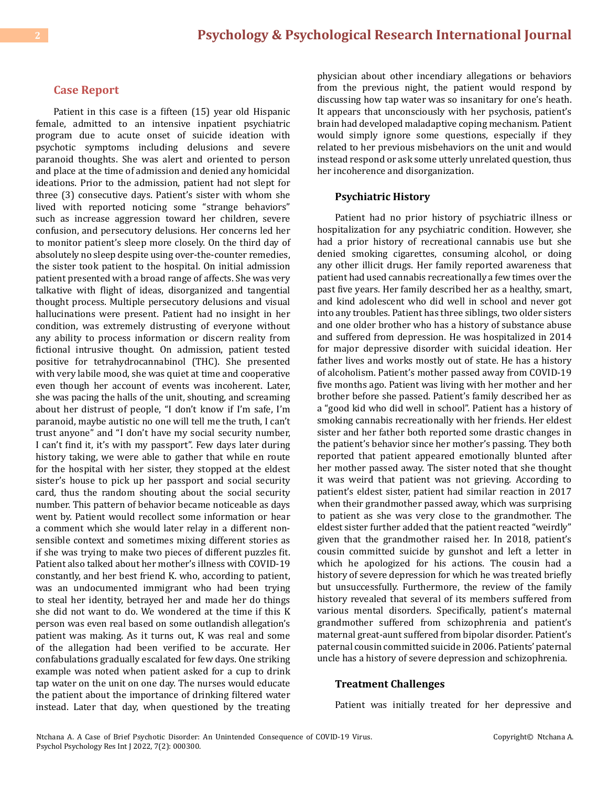#### **Case Report**

Patient in this case is a fifteen (15) year old Hispanic female, admitted to an intensive inpatient psychiatric program due to acute onset of suicide ideation with psychotic symptoms including delusions and severe paranoid thoughts. She was alert and oriented to person and place at the time of admission and denied any homicidal ideations. Prior to the admission, patient had not slept for three (3) consecutive days. Patient's sister with whom she lived with reported noticing some "strange behaviors" such as increase aggression toward her children, severe confusion, and persecutory delusions. Her concerns led her to monitor patient's sleep more closely. On the third day of absolutely no sleep despite using over-the-counter remedies, the sister took patient to the hospital. On initial admission patient presented with a broad range of affects. She was very talkative with flight of ideas, disorganized and tangential thought process. Multiple persecutory delusions and visual hallucinations were present. Patient had no insight in her condition, was extremely distrusting of everyone without any ability to process information or discern reality from fictional intrusive thought. On admission, patient tested positive for tetrahydrocannabinol (THC). She presented with very labile mood, she was quiet at time and cooperative even though her account of events was incoherent. Later, she was pacing the halls of the unit, shouting, and screaming about her distrust of people, "I don't know if I'm safe, I'm paranoid, maybe autistic no one will tell me the truth, I can't trust anyone" and "I don't have my social security number, I can't find it, it's with my passport". Few days later during history taking, we were able to gather that while en route for the hospital with her sister, they stopped at the eldest sister's house to pick up her passport and social security card, thus the random shouting about the social security number. This pattern of behavior became noticeable as days went by. Patient would recollect some information or hear a comment which she would later relay in a different nonsensible context and sometimes mixing different stories as if she was trying to make two pieces of different puzzles fit. Patient also talked about her mother's illness with COVID-19 constantly, and her best friend K. who, according to patient, was an undocumented immigrant who had been trying to steal her identity, betrayed her and made her do things she did not want to do. We wondered at the time if this K person was even real based on some outlandish allegation's patient was making. As it turns out, K was real and some of the allegation had been verified to be accurate. Her confabulations gradually escalated for few days. One striking example was noted when patient asked for a cup to drink tap water on the unit on one day. The nurses would educate the patient about the importance of drinking filtered water instead. Later that day, when questioned by the treating

physician about other incendiary allegations or behaviors from the previous night, the patient would respond by discussing how tap water was so insanitary for one's heath. It appears that unconsciously with her psychosis, patient's brain had developed maladaptive coping mechanism. Patient would simply ignore some questions, especially if they related to her previous misbehaviors on the unit and would instead respond or ask some utterly unrelated question, thus her incoherence and disorganization.

#### **Psychiatric History**

Patient had no prior history of psychiatric illness or hospitalization for any psychiatric condition. However, she had a prior history of recreational cannabis use but she denied smoking cigarettes, consuming alcohol, or doing any other illicit drugs. Her family reported awareness that patient had used cannabis recreationally a few times over the past five years. Her family described her as a healthy, smart, and kind adolescent who did well in school and never got into any troubles. Patient has three siblings, two older sisters and one older brother who has a history of substance abuse and suffered from depression. He was hospitalized in 2014 for major depressive disorder with suicidal ideation. Her father lives and works mostly out of state. He has a history of alcoholism. Patient's mother passed away from COVID-19 five months ago. Patient was living with her mother and her brother before she passed. Patient's family described her as a "good kid who did well in school". Patient has a history of smoking cannabis recreationally with her friends. Her eldest sister and her father both reported some drastic changes in the patient's behavior since her mother's passing. They both reported that patient appeared emotionally blunted after her mother passed away. The sister noted that she thought it was weird that patient was not grieving. According to patient's eldest sister, patient had similar reaction in 2017 when their grandmother passed away, which was surprising to patient as she was very close to the grandmother. The eldest sister further added that the patient reacted "weirdly" given that the grandmother raised her. In 2018, patient's cousin committed suicide by gunshot and left a letter in which he apologized for his actions. The cousin had a history of severe depression for which he was treated briefly but unsuccessfully. Furthermore, the review of the family history revealed that several of its members suffered from various mental disorders. Specifically, patient's maternal grandmother suffered from schizophrenia and patient's maternal great-aunt suffered from bipolar disorder. Patient's paternal cousin committed suicide in 2006. Patients' paternal uncle has a history of severe depression and schizophrenia.

#### **Treatment Challenges**

Patient was initially treated for her depressive and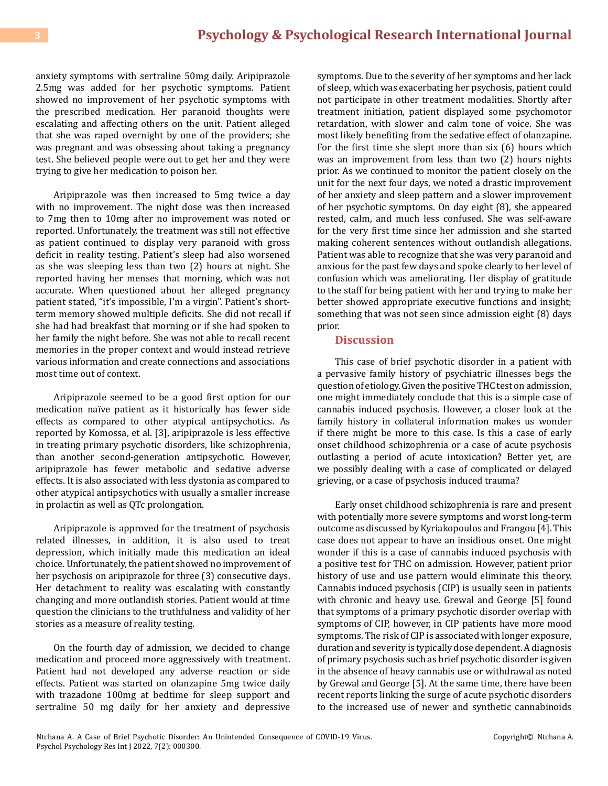anxiety symptoms with sertraline 50mg daily. Aripiprazole 2.5mg was added for her psychotic symptoms. Patient showed no improvement of her psychotic symptoms with the prescribed medication. Her paranoid thoughts were escalating and affecting others on the unit. Patient alleged that she was raped overnight by one of the providers; she was pregnant and was obsessing about taking a pregnancy test. She believed people were out to get her and they were trying to give her medication to poison her.

Aripiprazole was then increased to 5mg twice a day with no improvement. The night dose was then increased to 7mg then to 10mg after no improvement was noted or reported. Unfortunately, the treatment was still not effective as patient continued to display very paranoid with gross deficit in reality testing. Patient's sleep had also worsened as she was sleeping less than two (2) hours at night. She reported having her menses that morning, which was not accurate. When questioned about her alleged pregnancy patient stated, "it's impossible, I'm a virgin". Patient's shortterm memory showed multiple deficits. She did not recall if she had had breakfast that morning or if she had spoken to her family the night before. She was not able to recall recent memories in the proper context and would instead retrieve various information and create connections and associations most time out of context.

Aripiprazole seemed to be a good first option for our medication naïve patient as it historically has fewer side effects as compared to other atypical antipsychotics. As reported by Komossa, et al. [3], aripiprazole is less effective in treating primary psychotic disorders, like schizophrenia, than another second-generation antipsychotic. However, aripiprazole has fewer metabolic and sedative adverse effects. It is also associated with less dystonia as compared to other atypical antipsychotics with usually a smaller increase in prolactin as well as QTc prolongation.

Aripiprazole is approved for the treatment of psychosis related illnesses, in addition, it is also used to treat depression, which initially made this medication an ideal choice. Unfortunately, the patient showed no improvement of her psychosis on aripiprazole for three (3) consecutive days. Her detachment to reality was escalating with constantly changing and more outlandish stories. Patient would at time question the clinicians to the truthfulness and validity of her stories as a measure of reality testing.

On the fourth day of admission, we decided to change medication and proceed more aggressively with treatment. Patient had not developed any adverse reaction or side effects. Patient was started on olanzapine 5mg twice daily with trazadone 100mg at bedtime for sleep support and sertraline 50 mg daily for her anxiety and depressive

symptoms. Due to the severity of her symptoms and her lack of sleep, which was exacerbating her psychosis, patient could not participate in other treatment modalities. Shortly after treatment initiation, patient displayed some psychomotor retardation, with slower and calm tone of voice. She was most likely benefiting from the sedative effect of olanzapine. For the first time she slept more than six (6) hours which was an improvement from less than two (2) hours nights prior. As we continued to monitor the patient closely on the unit for the next four days, we noted a drastic improvement of her anxiety and sleep pattern and a slower improvement of her psychotic symptoms. On day eight (8), she appeared rested, calm, and much less confused. She was self-aware for the very first time since her admission and she started making coherent sentences without outlandish allegations. Patient was able to recognize that she was very paranoid and anxious for the past few days and spoke clearly to her level of confusion which was ameliorating. Her display of gratitude to the staff for being patient with her and trying to make her better showed appropriate executive functions and insight; something that was not seen since admission eight (8) days prior.

#### **Discussion**

This case of brief psychotic disorder in a patient with a pervasive family history of psychiatric illnesses begs the question of etiology. Given the positive THC test on admission, one might immediately conclude that this is a simple case of cannabis induced psychosis. However, a closer look at the family history in collateral information makes us wonder if there might be more to this case. Is this a case of early onset childhood schizophrenia or a case of acute psychosis outlasting a period of acute intoxication? Better yet, are we possibly dealing with a case of complicated or delayed grieving, or a case of psychosis induced trauma?

Early onset childhood schizophrenia is rare and present with potentially more severe symptoms and worst long-term outcome as discussed by Kyriakopoulos and Frangou [4]. This case does not appear to have an insidious onset. One might wonder if this is a case of cannabis induced psychosis with a positive test for THC on admission. However, patient prior history of use and use pattern would eliminate this theory. Cannabis induced psychosis (CIP) is usually seen in patients with chronic and heavy use. Grewal and George [5] found that symptoms of a primary psychotic disorder overlap with symptoms of CIP, however, in CIP patients have more mood symptoms. The risk of CIP is associated with longer exposure, duration and severity is typically dose dependent. A diagnosis of primary psychosis such as brief psychotic disorder is given in the absence of heavy cannabis use or withdrawal as noted by Grewal and George [5]. At the same time, there have been recent reports linking the surge of acute psychotic disorders to the increased use of newer and synthetic cannabinoids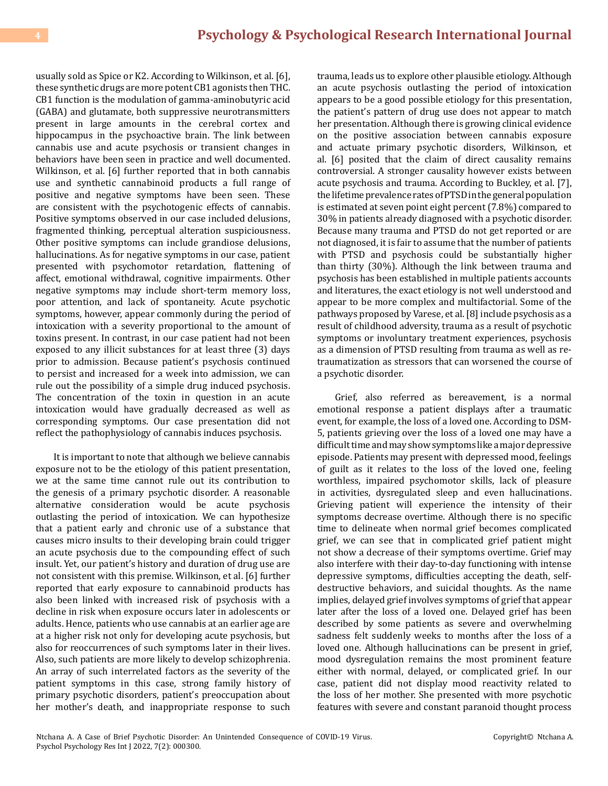usually sold as Spice or K2. According to Wilkinson, et al. [6], these synthetic drugs are more potent CB1 agonists then THC. CB1 function is the modulation of gamma-aminobutyric acid (GABA) and glutamate, both suppressive neurotransmitters present in large amounts in the cerebral cortex and hippocampus in the psychoactive brain. The link between cannabis use and acute psychosis or transient changes in behaviors have been seen in practice and well documented. Wilkinson, et al. [6] further reported that in both cannabis use and synthetic cannabinoid products a full range of positive and negative symptoms have been seen. These are consistent with the psychotogenic effects of cannabis. Positive symptoms observed in our case included delusions, fragmented thinking, perceptual alteration suspiciousness. Other positive symptoms can include grandiose delusions, hallucinations. As for negative symptoms in our case, patient presented with psychomotor retardation, flattening of affect, emotional withdrawal, cognitive impairments. Other negative symptoms may include short-term memory loss, poor attention, and lack of spontaneity. Acute psychotic symptoms, however, appear commonly during the period of intoxication with a severity proportional to the amount of toxins present. In contrast, in our case patient had not been exposed to any illicit substances for at least three (3) days prior to admission. Because patient's psychosis continued to persist and increased for a week into admission, we can rule out the possibility of a simple drug induced psychosis. The concentration of the toxin in question in an acute intoxication would have gradually decreased as well as corresponding symptoms. Our case presentation did not reflect the pathophysiology of cannabis induces psychosis.

It is important to note that although we believe cannabis exposure not to be the etiology of this patient presentation, we at the same time cannot rule out its contribution to the genesis of a primary psychotic disorder. A reasonable alternative consideration would be acute psychosis outlasting the period of intoxication. We can hypothesize that a patient early and chronic use of a substance that causes micro insults to their developing brain could trigger an acute psychosis due to the compounding effect of such insult. Yet, our patient's history and duration of drug use are not consistent with this premise. Wilkinson, et al. [6] further reported that early exposure to cannabinoid products has also been linked with increased risk of psychosis with a decline in risk when exposure occurs later in adolescents or adults. Hence, patients who use cannabis at an earlier age are at a higher risk not only for developing acute psychosis, but also for reoccurrences of such symptoms later in their lives. Also, such patients are more likely to develop schizophrenia. An array of such interrelated factors as the severity of the patient symptoms in this case, strong family history of primary psychotic disorders, patient's preoccupation about her mother's death, and inappropriate response to such

trauma, leads us to explore other plausible etiology. Although an acute psychosis outlasting the period of intoxication appears to be a good possible etiology for this presentation, the patient's pattern of drug use does not appear to match her presentation. Although there is growing clinical evidence on the positive association between cannabis exposure and actuate primary psychotic disorders, Wilkinson, et al. [6] posited that the claim of direct causality remains controversial. A stronger causality however exists between acute psychosis and trauma. According to Buckley, et al. [7], the lifetime prevalence rates of PTSD in the general population is estimated at seven point eight percent (7.8%) compared to 30% in patients already diagnosed with a psychotic disorder. Because many trauma and PTSD do not get reported or are not diagnosed, it is fair to assume that the number of patients with PTSD and psychosis could be substantially higher than thirty (30%). Although the link between trauma and psychosis has been established in multiple patients accounts and literatures, the exact etiology is not well understood and appear to be more complex and multifactorial. Some of the pathways proposed by Varese, et al. [8] include psychosis as a result of childhood adversity, trauma as a result of psychotic symptoms or involuntary treatment experiences, psychosis as a dimension of PTSD resulting from trauma as well as retraumatization as stressors that can worsened the course of a psychotic disorder.

Grief, also referred as bereavement, is a normal emotional response a patient displays after a traumatic event, for example, the loss of a loved one. According to DSM-5, patients grieving over the loss of a loved one may have a difficult time and may show symptoms like a major depressive episode. Patients may present with depressed mood, feelings of guilt as it relates to the loss of the loved one, feeling worthless, impaired psychomotor skills, lack of pleasure in activities, dysregulated sleep and even hallucinations. Grieving patient will experience the intensity of their symptoms decrease overtime. Although there is no specific time to delineate when normal grief becomes complicated grief, we can see that in complicated grief patient might not show a decrease of their symptoms overtime. Grief may also interfere with their day-to-day functioning with intense depressive symptoms, difficulties accepting the death, selfdestructive behaviors, and suicidal thoughts. As the name implies, delayed grief involves symptoms of grief that appear later after the loss of a loved one. Delayed grief has been described by some patients as severe and overwhelming sadness felt suddenly weeks to months after the loss of a loved one. Although hallucinations can be present in grief, mood dysregulation remains the most prominent feature either with normal, delayed, or complicated grief. In our case, patient did not display mood reactivity related to the loss of her mother. She presented with more psychotic features with severe and constant paranoid thought process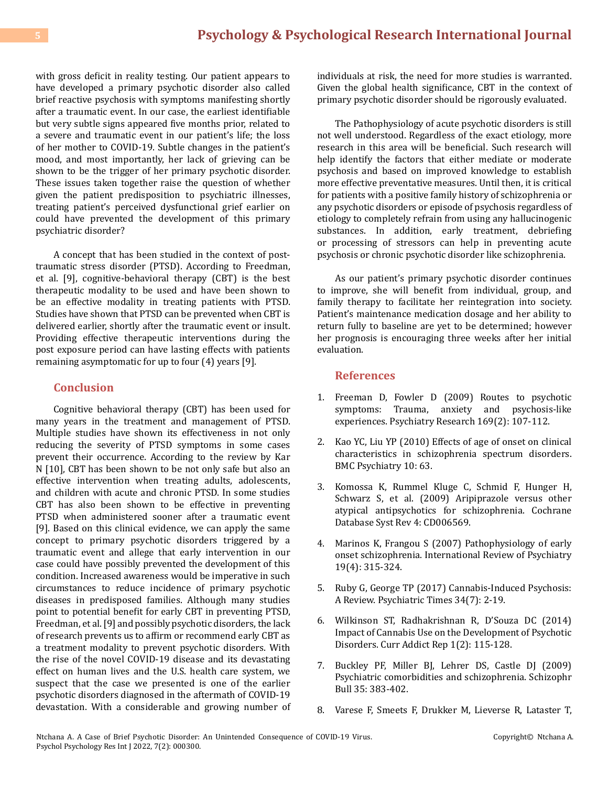with gross deficit in reality testing. Our patient appears to have developed a primary psychotic disorder also called brief reactive psychosis with symptoms manifesting shortly after a traumatic event. In our case, the earliest identifiable but very subtle signs appeared five months prior, related to a severe and traumatic event in our patient's life; the loss of her mother to COVID-19. Subtle changes in the patient's mood, and most importantly, her lack of grieving can be shown to be the trigger of her primary psychotic disorder. These issues taken together raise the question of whether given the patient predisposition to psychiatric illnesses, treating patient's perceived dysfunctional grief earlier on could have prevented the development of this primary psychiatric disorder?

A concept that has been studied in the context of posttraumatic stress disorder (PTSD). According to Freedman, et al. [9], cognitive-behavioral therapy (CBT) is the best therapeutic modality to be used and have been shown to be an effective modality in treating patients with PTSD. Studies have shown that PTSD can be prevented when CBT is delivered earlier, shortly after the traumatic event or insult. Providing effective therapeutic interventions during the post exposure period can have lasting effects with patients remaining asymptomatic for up to four (4) years [9].

## **Conclusion**

Cognitive behavioral therapy (CBT) has been used for many years in the treatment and management of PTSD. Multiple studies have shown its effectiveness in not only reducing the severity of PTSD symptoms in some cases prevent their occurrence. According to the review by Kar N [10], CBT has been shown to be not only safe but also an effective intervention when treating adults, adolescents, and children with acute and chronic PTSD. In some studies CBT has also been shown to be effective in preventing PTSD when administered sooner after a traumatic event [9]. Based on this clinical evidence, we can apply the same concept to primary psychotic disorders triggered by a traumatic event and allege that early intervention in our case could have possibly prevented the development of this condition. Increased awareness would be imperative in such circumstances to reduce incidence of primary psychotic diseases in predisposed families. Although many studies point to potential benefit for early CBT in preventing PTSD, Freedman, et al. [9] and possibly psychotic disorders, the lack of research prevents us to affirm or recommend early CBT as a treatment modality to prevent psychotic disorders. With the rise of the novel COVID-19 disease and its devastating effect on human lives and the U.S. health care system, we suspect that the case we presented is one of the earlier psychotic disorders diagnosed in the aftermath of COVID-19 devastation. With a considerable and growing number of individuals at risk, the need for more studies is warranted. Given the global health significance, CBT in the context of primary psychotic disorder should be rigorously evaluated.

The Pathophysiology of acute psychotic disorders is still not well understood. Regardless of the exact etiology, more research in this area will be beneficial. Such research will help identify the factors that either mediate or moderate psychosis and based on improved knowledge to establish more effective preventative measures. Until then, it is critical for patients with a positive family history of schizophrenia or any psychotic disorders or episode of psychosis regardless of etiology to completely refrain from using any hallucinogenic substances. In addition, early treatment, debriefing or processing of stressors can help in preventing acute psychosis or chronic psychotic disorder like schizophrenia.

As our patient's primary psychotic disorder continues to improve, she will benefit from individual, group, and family therapy to facilitate her reintegration into society. Patient's maintenance medication dosage and her ability to return fully to baseline are yet to be determined; however her prognosis is encouraging three weeks after her initial evaluation.

### **References**

- 1. [Freeman D, Fowler D \(2009\) Routes to psychotic](https://www.ncbi.nlm.nih.gov/pmc/articles/PMC2748122/) [symptoms: Trauma, anxiety and psychosis-like](https://www.ncbi.nlm.nih.gov/pmc/articles/PMC2748122/) [experiences. Psychiatry Research 169\(2\): 107-112.](https://www.ncbi.nlm.nih.gov/pmc/articles/PMC2748122/)
- 2. [Kao YC, Liu YP \(2010\) Effects of age of onset on clinical](https://pubmed.ncbi.nlm.nih.gov/20718964/)  [characteristics in schizophrenia spectrum disorders.](https://pubmed.ncbi.nlm.nih.gov/20718964/) [BMC Psychiatry 10: 63.](https://pubmed.ncbi.nlm.nih.gov/20718964/)
- 3. [Komossa K, Rummel Kluge C, Schmid F, Hunger H,](https://www.ncbi.nlm.nih.gov/pmc/articles/PMC4164478/) [Schwarz S, et al. \(2009\) Aripiprazole versus other](https://www.ncbi.nlm.nih.gov/pmc/articles/PMC4164478/) [atypical antipsychotics for schizophrenia. Cochrane](https://www.ncbi.nlm.nih.gov/pmc/articles/PMC4164478/)  [Database Syst Rev 4: CD006569.](https://www.ncbi.nlm.nih.gov/pmc/articles/PMC4164478/)
- 4. [Marinos K, Frangou S \(2007\) Pathophysiology of early](https://pubmed.ncbi.nlm.nih.gov/17671865/) [onset schizophrenia. International Review of Psychiatry](https://pubmed.ncbi.nlm.nih.gov/17671865/) [19\(4\): 315-324.](https://pubmed.ncbi.nlm.nih.gov/17671865/)
- 5. [Ruby G, George TP \(2017\) Cannabis-Induced Psychosis:](https://www.psychiatrictimes.com/view/cannabis-induced-psychosis-review) [A Review. Psychiatric Times 34\(7\): 2-19.](https://www.psychiatrictimes.com/view/cannabis-induced-psychosis-review)
- 6. [Wilkinson ST, Radhakrishnan R, D'Souza DC \(2014\)](https://www.ncbi.nlm.nih.gov/pmc/articles/PMC4352721/) [Impact of Cannabis Use on the Development of Psychotic](https://www.ncbi.nlm.nih.gov/pmc/articles/PMC4352721/) [Disorders. Curr Addict Rep 1\(2\): 115-128.](https://www.ncbi.nlm.nih.gov/pmc/articles/PMC4352721/)
- 7. [Buckley PF, Miller BJ, Lehrer DS, Castle DJ \(2009\)](https://www.ncbi.nlm.nih.gov/pmc/articles/PMC2659306/) [Psychiatric comorbidities and schizophrenia.](https://www.ncbi.nlm.nih.gov/pmc/articles/PMC2659306/) Schizophr Bull [35: 383-402.](https://www.ncbi.nlm.nih.gov/pmc/articles/PMC2659306/)
- 8. [Varese F, Smeets F, Drukker M, Lieverse R, Lataster T,](https://pubmed.ncbi.nlm.nih.gov/22461484/)